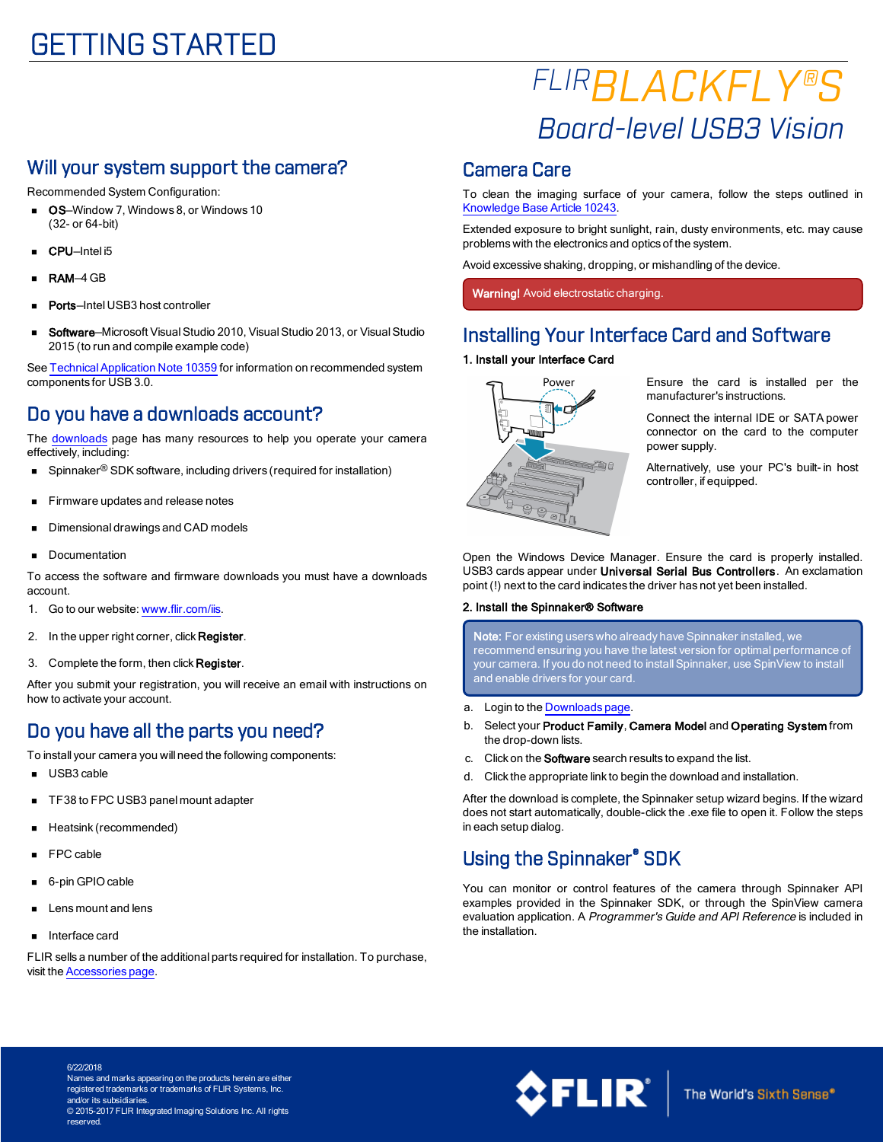# GETTING STARTED

# *FLIRBLACKFLY®S Board-level USB3 Vision*

### Will your system support the camera?

Recommended System Configuration:

- **OS**-Window 7, Windows 8, or Windows 10 (32- or 64-bit)
- CPU-Intel i5
- RAM-4 GB
- Ports-Intel USB3 host controller
- Software-Microsoft Visual Studio 2010, Visual Studio 2013, or Visual Studio 2015 (to run and compile example code)

See Technical Application Note 10359 for information on recommended system components for USB 3.0.

### Do you have a downloads account?

The [downloads](http://www.ptgrey.com/support/downloads) page has many resources to help you operate your camera effectively, including:

- Spinnaker<sup>®</sup> SDK software, including drivers (required for installation)
- Firmware updates and release notes
- Dimensional drawings and CAD models
- Documentation

To access the software and firmware downloads you must have a downloads account.

- 1. Go to our website: [www.flir.com/iis](http://www.ptgrey.com/).
- 2. In the upper right corner, click Register.
- 3. Complete the form, then click Register.

After you submit your registration, you will receive an email with instructions on how to activate your account.

# Do you have all the parts you need?

To install your camera you will need the following components:

- **u** USB3 cable
- TF38 to FPC USB3 panel mount adapter
- Heatsink (recommended)
- n FPC cable
- 6-pin GPIO cable
- n Lens mount and lens
- Interface card

FLIR sells a number of the additional parts required for installation. To purchase, visit the [Accessories](http://www.ptgrey.com/accessories) page.

### Camera Care

To clean the imaging surface of your camera, follow the steps outlined in [Knowledge](http://www.ptgrey.com/KB/10243) Base Article 10243.

Extended exposure to bright sunlight, rain, dusty environments, etc. may cause problems with the electronics and optics of the system.

Avoid excessive shaking, dropping, or mishandling of the device.

Warning! Avoid electrostatic charging.

### Installing Your Interface Card and Software

#### 1. Install your Interface Card



Ensure the card is installed per the manufacturer's instructions.

Connect the internal IDE or SATA power connector on the card to the computer power supply.

Alternatively, use your PC's built- in host controller, if equipped.

Open the Windows Device Manager. Ensure the card is properly installed. USB3 cards appear under Universal Serial Bus Controllers. An exclamation point (!) next to the card indicates the driver has not yet been installed.

#### 2. Install the Spinnaker® Software

Note: For existing users who already have Spinnaker installed, we recommend ensuring you have the latest version for optimal performance of your camera. If you do not need to install Spinnaker, use SpinView to install and enable drivers for your card.

- a. Login to the [Downloads](http://www.ptgrey.com/support/downloads) page.
- b. Select your Product Family, Camera Model and Operating System from the drop-down lists.
- c. Click on the **Software** search results to expand the list.
- d. Click the appropriate link to begin the download and installation.

After the download is complete, the Spinnaker setup wizard begins. If the wizard does not start automatically, double-click the .exe file to open it. Follow the steps in each setup dialog.

### Using the Spinnaker® SDK

You can monitor or control features of the camera through Spinnaker API examples provided in the Spinnaker SDK, or through the SpinView camera evaluation application. A Programmer's Guide and API Reference is included in the installation.

6/22/2018 Names and marks appearing on the products herein are either registered trademarks or trademarks of FLIR Systems, Inc. and/or its subsidiaries. © 2015-2017 FLIR Integrated Imaging Solutions Inc. All rights reserved.